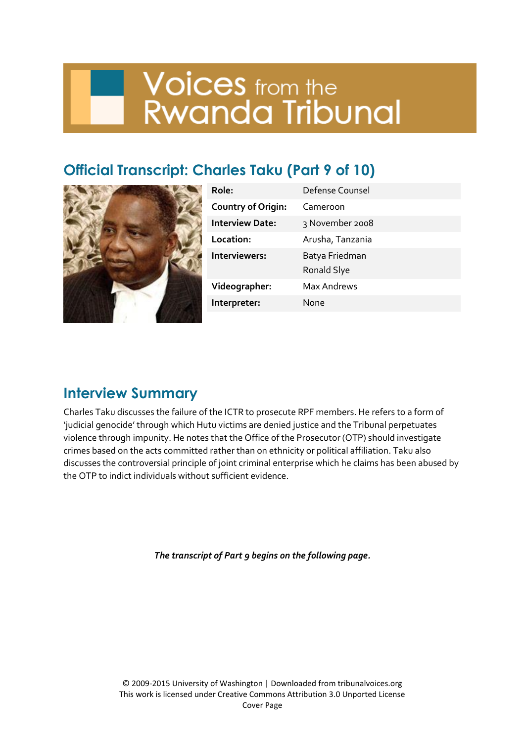# **Voices** from the<br>Rwanda Tribunal

# **Official Transcript: Charles Taku (Part 9 of 10)**



| Role:                     | Defense Counsel               |
|---------------------------|-------------------------------|
| <b>Country of Origin:</b> | Cameroon                      |
| <b>Interview Date:</b>    | 3 November 2008               |
| Location:                 | Arusha, Tanzania              |
| Interviewers:             | Batya Friedman<br>Ronald Slye |
| Videographer:             | <b>Max Andrews</b>            |
| Interpreter:              | None                          |
|                           |                               |

## **Interview Summary**

Charles Taku discusses the failure of the ICTR to prosecute RPF members. He refers to a form of 'judicial genocide' through which Hutu victims are denied justice and the Tribunal perpetuates violence through impunity. He notes that the Office of the Prosecutor (OTP) should investigate crimes based on the acts committed rather than on ethnicity or political affiliation. Taku also discusses the controversial principle of joint criminal enterprise which he claims has been abused by the OTP to indict individuals without sufficient evidence.

*The transcript of Part 9 begins on the following page.*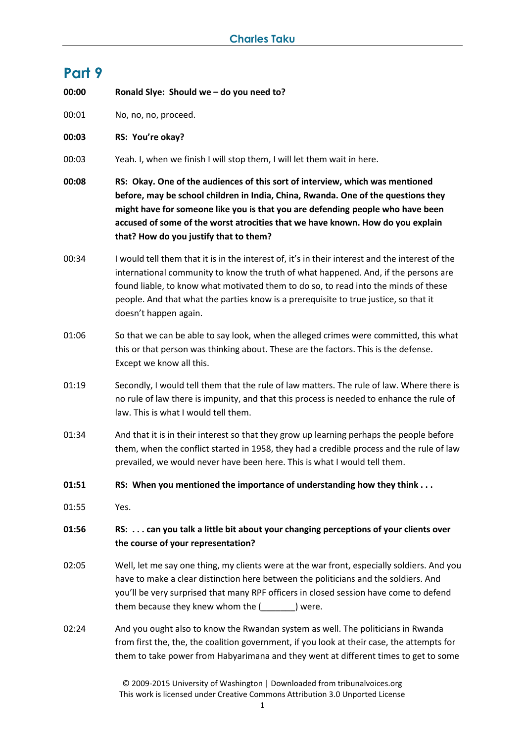## **Part 9**

**00:00 Ronald Slye: Should we – do you need to?** 

00:01 No, no, no, proceed.

**00:03 RS: You're okay?**

00:03 Yeah. I, when we finish I will stop them, I will let them wait in here.

**00:08 RS: Okay. One of the audiences of this sort of interview, which was mentioned before, may be school children in India, China, Rwanda. One of the questions they might have for someone like you is that you are defending people who have been accused of some of the worst atrocities that we have known. How do you explain that? How do you justify that to them?**

- 00:34 I would tell them that it is in the interest of, it's in their interest and the interest of the international community to know the truth of what happened. And, if the persons are found liable, to know what motivated them to do so, to read into the minds of these people. And that what the parties know is a prerequisite to true justice, so that it doesn't happen again.
- 01:06 So that we can be able to say look, when the alleged crimes were committed, this what this or that person was thinking about. These are the factors. This is the defense. Except we know all this.
- 01:19 Secondly, I would tell them that the rule of law matters. The rule of law. Where there is no rule of law there is impunity, and that this process is needed to enhance the rule of law. This is what I would tell them.
- 01:34 And that it is in their interest so that they grow up learning perhaps the people before them, when the conflict started in 1958, they had a credible process and the rule of law prevailed, we would never have been here. This is what I would tell them.
- **01:51 RS: When you mentioned the importance of understanding how they think . . .**
- 01:55 Yes.

#### **01:56 RS: . . . can you talk a little bit about your changing perceptions of your clients over the course of your representation?**

- 02:05 Well, let me say one thing, my clients were at the war front, especially soldiers. And you have to make a clear distinction here between the politicians and the soldiers. And you'll be very surprised that many RPF officers in closed session have come to defend them because they knew whom the (Sample 1) were.
- 02:24 And you ought also to know the Rwandan system as well. The politicians in Rwanda from first the, the, the coalition government, if you look at their case, the attempts for them to take power from Habyarimana and they went at different times to get to some

© 2009-2015 University of Washington | Downloaded from tribunalvoices.org This work is licensed under Creative Commons Attribution 3.0 Unported License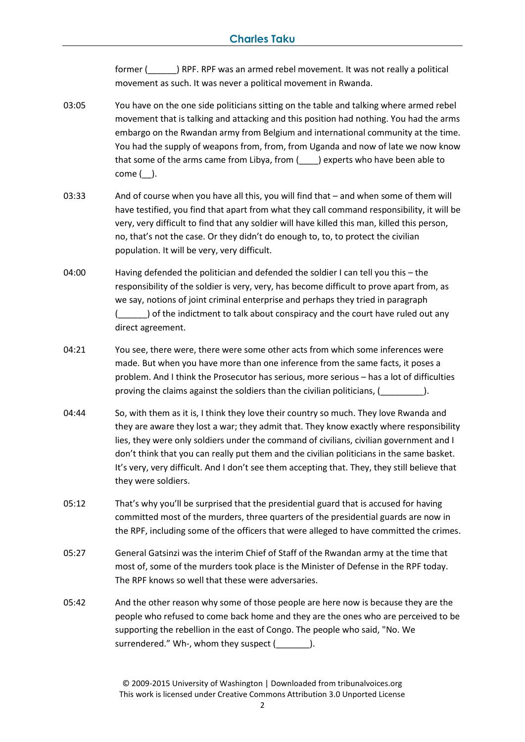former (\_\_\_\_\_\_) RPF. RPF was an armed rebel movement. It was not really a political movement as such. It was never a political movement in Rwanda.

- 03:05 You have on the one side politicians sitting on the table and talking where armed rebel movement that is talking and attacking and this position had nothing. You had the arms embargo on the Rwandan army from Belgium and international community at the time. You had the supply of weapons from, from, from Uganda and now of late we now know that some of the arms came from Libya, from (\_\_\_\_) experts who have been able to come (\_\_).
- 03:33 And of course when you have all this, you will find that and when some of them will have testified, you find that apart from what they call command responsibility, it will be very, very difficult to find that any soldier will have killed this man, killed this person, no, that's not the case. Or they didn't do enough to, to, to protect the civilian population. It will be very, very difficult.
- 04:00 Having defended the politician and defended the soldier I can tell you this the responsibility of the soldier is very, very, has become difficult to prove apart from, as we say, notions of joint criminal enterprise and perhaps they tried in paragraph ) of the indictment to talk about conspiracy and the court have ruled out any direct agreement.
- 04:21 You see, there were, there were some other acts from which some inferences were made. But when you have more than one inference from the same facts, it poses a problem. And I think the Prosecutor has serious, more serious – has a lot of difficulties proving the claims against the soldiers than the civilian politicians, (
- 04:44 So, with them as it is, I think they love their country so much. They love Rwanda and they are aware they lost a war; they admit that. They know exactly where responsibility lies, they were only soldiers under the command of civilians, civilian government and I don't think that you can really put them and the civilian politicians in the same basket. It's very, very difficult. And I don't see them accepting that. They, they still believe that they were soldiers.
- 05:12 That's why you'll be surprised that the presidential guard that is accused for having committed most of the murders, three quarters of the presidential guards are now in the RPF, including some of the officers that were alleged to have committed the crimes.
- 05:27 General Gatsinzi was the interim Chief of Staff of the Rwandan army at the time that most of, some of the murders took place is the Minister of Defense in the RPF today. The RPF knows so well that these were adversaries.
- 05:42 And the other reason why some of those people are here now is because they are the people who refused to come back home and they are the ones who are perceived to be supporting the rebellion in the east of Congo. The people who said, "No. We surrendered." Wh-, whom they suspect (Surface of ).

© 2009-2015 University of Washington | Downloaded from tribunalvoices.org This work is licensed under Creative Commons Attribution 3.0 Unported License